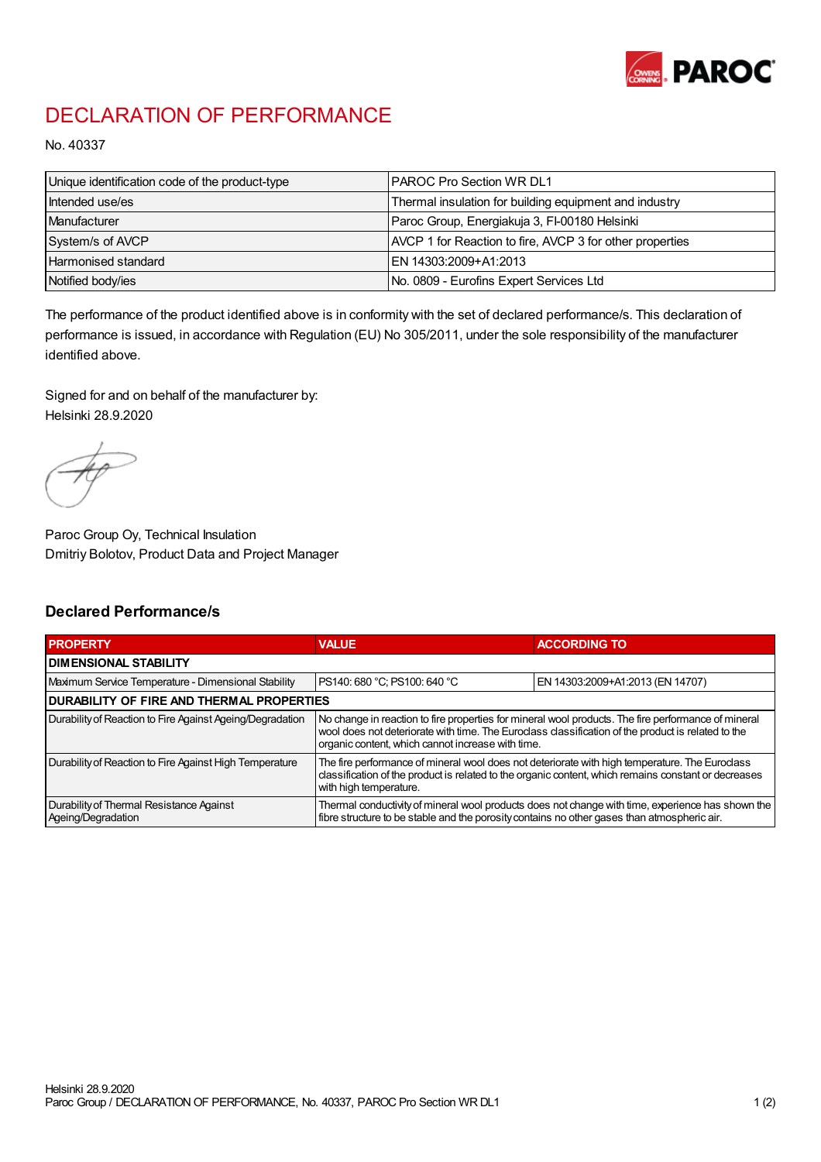

## DECLARATION OF PERFORMANCE

No. 40337

| Unique identification code of the product-type | IPAROC Pro Section WR DL1                                |
|------------------------------------------------|----------------------------------------------------------|
| Intended use/es                                | Thermal insulation for building equipment and industry   |
| Manufacturer                                   | Paroc Group, Energiakuja 3, FI-00180 Helsinki            |
| System/s of AVCP                               | AVCP 1 for Reaction to fire, AVCP 3 for other properties |
| Harmonised standard                            | IEN 14303:2009+A1:2013                                   |
| Notified body/ies                              | No. 0809 - Eurofins Expert Services Ltd                  |

The performance of the product identified above is in conformity with the set of declared performance/s. This declaration of performance is issued, in accordance with Regulation (EU) No 305/2011, under the sole responsibility of the manufacturer identified above.

Signed for and on behalf of the manufacturer by: Helsinki 28.9.2020

Paroc Group Oy, Technical Insulation Dmitriy Bolotov, Product Data and Project Manager

## Declared Performance/s

| <b>PROPERTY</b>                                                | <b>VALUE</b>                                                                                                                                                                                                                                                   | <b>ACCORDING TO</b>              |  |  |
|----------------------------------------------------------------|----------------------------------------------------------------------------------------------------------------------------------------------------------------------------------------------------------------------------------------------------------------|----------------------------------|--|--|
| <b>DIMENSIONAL STABILITY</b>                                   |                                                                                                                                                                                                                                                                |                                  |  |  |
| Maximum Service Temperature - Dimensional Stability            | PS140: 680 °C; PS100: 640 °C                                                                                                                                                                                                                                   | EN 14303:2009+A1:2013 (EN 14707) |  |  |
| <b>DURABILITY OF FIRE AND THERMAL PROPERTIES</b>               |                                                                                                                                                                                                                                                                |                                  |  |  |
| Durability of Reaction to Fire Against Ageing/Degradation      | No change in reaction to fire properties for mineral wool products. The fire performance of mineral<br>wool does not deteriorate with time. The Euroclass classification of the product is related to the<br>organic content, which cannot increase with time. |                                  |  |  |
| Durability of Reaction to Fire Against High Temperature        | The fire performance of mineral wool does not deteriorate with high temperature. The Euroclass<br>classification of the product is related to the organic content, which remains constant or decreases<br>with high temperature.                               |                                  |  |  |
| Durability of Thermal Resistance Against<br>Ageing/Degradation | Thermal conductivity of mineral wool products does not change with time, experience has shown the<br>fibre structure to be stable and the porosity contains no other gases than atmospheric air.                                                               |                                  |  |  |